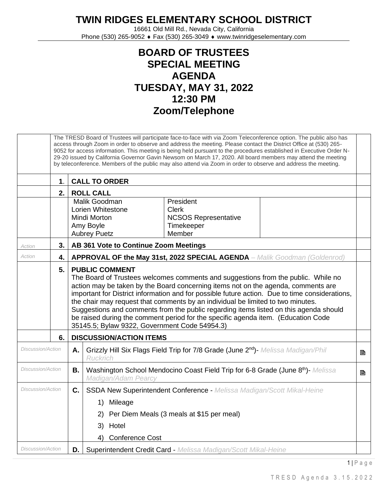## **TWIN RIDGES ELEMENTARY SCHOOL DISTRICT**

16661 Old Mill Rd., Nevada City, California Phone (530) 265-9052 ♦ Fax (530) 265-3049 ♦ www.twinridgeselementary.com

## **BOARD OF TRUSTEES SPECIAL MEETING AGENDA TUESDAY, MAY 31, 2022 12:30 PM Zoom/Telephone**

|                          |               |    | The TRESD Board of Trustees will participate face-to-face with via Zoom Teleconference option. The public also has<br>access through Zoom in order to observe and address the meeting. Please contact the District Office at (530) 265-<br>9052 for access information. This meeting is being held pursuant to the procedures established in Executive Order N-<br>29-20 issued by California Governor Gavin Newsom on March 17, 2020. All board members may attend the meeting<br>by teleconference. Members of the public may also attend via Zoom in order to observe and address the meeting.                   |   |  |
|--------------------------|---------------|----|---------------------------------------------------------------------------------------------------------------------------------------------------------------------------------------------------------------------------------------------------------------------------------------------------------------------------------------------------------------------------------------------------------------------------------------------------------------------------------------------------------------------------------------------------------------------------------------------------------------------|---|--|
|                          | $\mathbf 1$ . |    | <b>CALL TO ORDER</b>                                                                                                                                                                                                                                                                                                                                                                                                                                                                                                                                                                                                |   |  |
|                          | 2.            |    | <b>ROLL CALL</b>                                                                                                                                                                                                                                                                                                                                                                                                                                                                                                                                                                                                    |   |  |
|                          |               |    | Malik Goodman<br>President<br>Lorien Whitestone<br><b>Clerk</b><br><b>NCSOS Representative</b><br>Mindi Morton<br>Amy Boyle<br>Timekeeper<br>Member<br><b>Aubrey Puetz</b>                                                                                                                                                                                                                                                                                                                                                                                                                                          |   |  |
| Action                   | 3.            |    | AB 361 Vote to Continue Zoom Meetings                                                                                                                                                                                                                                                                                                                                                                                                                                                                                                                                                                               |   |  |
| Action                   | 4.            |    | <b>APPROVAL OF the May 31st, 2022 SPECIAL AGENDA</b> - Malik Goodman (Goldenrod)                                                                                                                                                                                                                                                                                                                                                                                                                                                                                                                                    |   |  |
|                          | 5.            |    | <b>PUBLIC COMMENT</b><br>The Board of Trustees welcomes comments and suggestions from the public. While no<br>action may be taken by the Board concerning items not on the agenda, comments are<br>important for District information and for possible future action. Due to time considerations,<br>the chair may request that comments by an individual be limited to two minutes.<br>Suggestions and comments from the public regarding items listed on this agenda should<br>be raised during the comment period for the specific agenda item. (Education Code<br>35145.5; Bylaw 9322, Government Code 54954.3) |   |  |
|                          | 6.            |    | <b>DISCUSSION/ACTION ITEMS</b>                                                                                                                                                                                                                                                                                                                                                                                                                                                                                                                                                                                      |   |  |
| Discussion/Action        |               | Α. | Grizzly Hill Six Flags Field Trip for 7/8 Grade (June 2nd)- Melissa Madigan/Phil<br><b>Ruckrich</b>                                                                                                                                                                                                                                                                                                                                                                                                                                                                                                                 | B |  |
| <b>Discussion/Action</b> |               | В. | Washington School Mendocino Coast Field Trip for 6-8 Grade (June 8th)- Melissa<br>Madigan/Adam Pearcy                                                                                                                                                                                                                                                                                                                                                                                                                                                                                                               | B |  |
| <b>Discussion/Action</b> |               | C. | <b>SSDA New Superintendent Conference - Melissa Madigan/Scott Mikal-Heine</b><br>1) Mileage<br>2) Per Diem Meals (3 meals at \$15 per meal)<br>3) Hotel<br><b>Conference Cost</b><br>4)                                                                                                                                                                                                                                                                                                                                                                                                                             |   |  |
| <b>Discussion/Action</b> |               | D. | Superintendent Credit Card - Melissa Madigan/Scott Mikal-Heine                                                                                                                                                                                                                                                                                                                                                                                                                                                                                                                                                      |   |  |

1 | P a g e